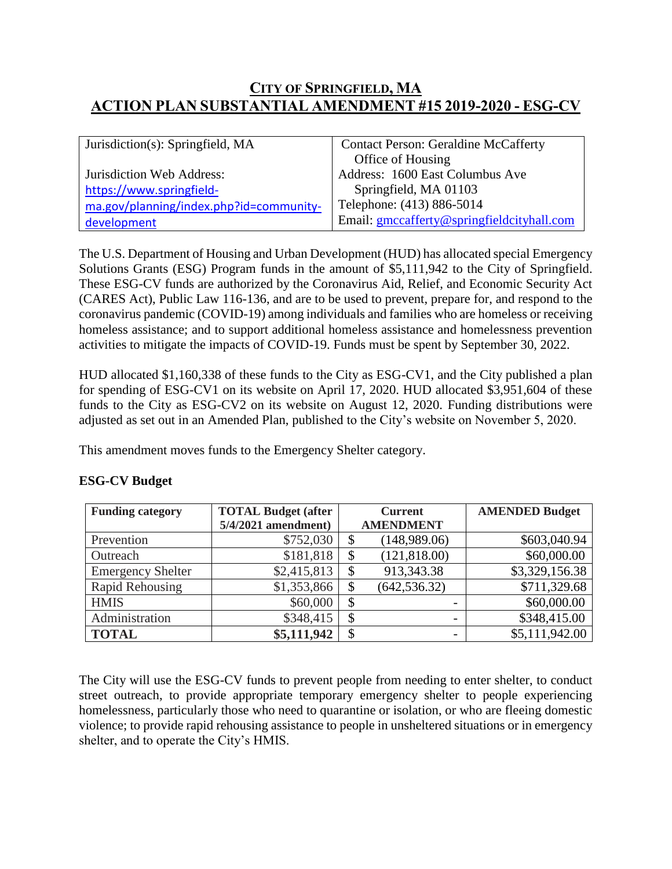## **CITY OF SPRINGFIELD, MA ACTION PLAN SUBSTANTIAL AMENDMENT #15 2019-2020 - ESG-CV**

| Jurisdiction(s): Springfield, MA        | <b>Contact Person: Geraldine McCafferty</b> |  |
|-----------------------------------------|---------------------------------------------|--|
|                                         | Office of Housing                           |  |
| Jurisdiction Web Address:               | Address: 1600 East Columbus Ave             |  |
| https://www.springfield-                | Springfield, MA 01103                       |  |
| ma.gov/planning/index.php?id=community- | Telephone: (413) 886-5014                   |  |
| development                             | Email: gmccafferty@springfieldcityhall.com  |  |

The U.S. Department of Housing and Urban Development (HUD) has allocated special Emergency Solutions Grants (ESG) Program funds in the amount of \$5,111,942 to the City of Springfield. These ESG-CV funds are authorized by the Coronavirus Aid, Relief, and Economic Security Act (CARES Act), Public Law 116-136, and are to be used to prevent, prepare for, and respond to the coronavirus pandemic (COVID-19) among individuals and families who are homeless or receiving homeless assistance; and to support additional homeless assistance and homelessness prevention activities to mitigate the impacts of COVID-19. Funds must be spent by September 30, 2022.

HUD allocated \$1,160,338 of these funds to the City as ESG-CV1, and the City published a plan for spending of ESG-CV1 on its website on April 17, 2020. HUD allocated \$3,951,604 of these funds to the City as ESG-CV2 on its website on August 12, 2020. Funding distributions were adjusted as set out in an Amended Plan, published to the City's website on November 5, 2020.

This amendment moves funds to the Emergency Shelter category.

| <b>Funding category</b>  | <b>TOTAL Budget (after</b> | <b>Current</b> |                  | <b>AMENDED Budget</b> |
|--------------------------|----------------------------|----------------|------------------|-----------------------|
|                          | $5/4/2021$ amendment)      |                | <b>AMENDMENT</b> |                       |
| Prevention               | \$752,030                  |                | (148,989.06)     | \$603,040.94          |
| Outreach                 | \$181,818                  |                | (121, 818.00)    | \$60,000.00           |
| <b>Emergency Shelter</b> | \$2,415,813                |                | 913,343.38       | \$3,329,156.38        |
| Rapid Rehousing          | \$1,353,866                |                | (642, 536.32)    | \$711,329.68          |
| <b>HMIS</b>              | \$60,000                   |                |                  | \$60,000.00           |
| Administration           | \$348,415                  |                | -                | \$348,415.00          |
| <b>TOTAL</b>             | \$5,111,942                |                | -                | \$5,111,942.00        |

## **ESG-CV Budget**

The City will use the ESG-CV funds to prevent people from needing to enter shelter, to conduct street outreach, to provide appropriate temporary emergency shelter to people experiencing homelessness, particularly those who need to quarantine or isolation, or who are fleeing domestic violence; to provide rapid rehousing assistance to people in unsheltered situations or in emergency shelter, and to operate the City's HMIS.